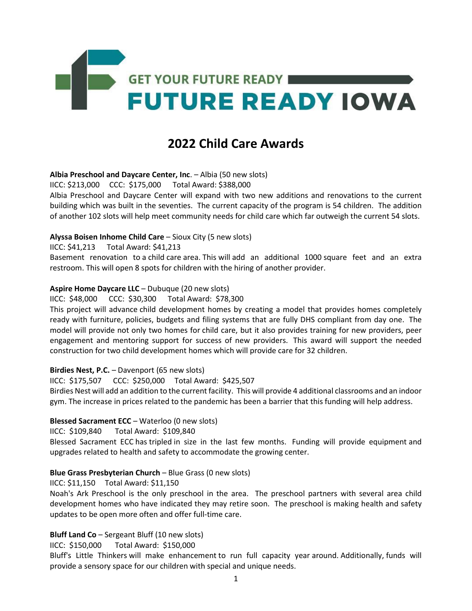

# **2022 Child Care Awards**

### **Albia Preschool and Daycare Center, Inc**. – Albia (50 new slots)

IICC: \$213,000 CCC: \$175,000 Total Award: \$388,000

Albia Preschool and Daycare Center will expand with two new additions and renovations to the current building which was built in the seventies. The current capacity of the program is 54 children. The addition of another 102 slots will help meet community needs for child care which far outweigh the current 54 slots.

#### **Alyssa Boisen Inhome Child Care** – Sioux City (5 new slots)

IICC: \$41,213 Total Award: \$41,213

Basement renovation to a child care area. This will add an additional 1000 square feet and an extra restroom. This will open 8 spots for children with the hiring of another provider.

#### **Aspire Home Daycare LLC** – Dubuque (20 new slots)

IICC: \$48,000 CCC: \$30,300 Total Award: \$78,300 

This project will advance child development homes by creating a model that provides homes completely ready with furniture, policies, budgets and filing systems that are fully DHS compliant from day one. The model will provide not only two homes for child care, but it also provides training for new providers, peer engagement and mentoring support for success of new providers. This award will support the needed construction for two child development homes which will provide care for 32 children. 

### **Birdies Nest, P.C.** – Davenport (65 new slots)

IICC: \$175,507 CCC: \$250,000 Total Award: \$425,507 

Birdies Nest will add an addition to the current facility. This will provide 4 additional classrooms and an indoor gym. The increase in prices related to the pandemic has been a barrier that this funding will help address. 

### **Blessed Sacrament ECC** – Waterloo (0 new slots)

IICC: \$109,840 Total Award: \$109,840

Blessed Sacrament ECC has tripled in size in the last few months. Funding will provide equipment and upgrades related to health and safety to accommodate the growing center.

### **Blue Grass Presbyterian Church** – Blue Grass (0 new slots)

IICC: \$11,150 Total Award: \$11,150

Noah's Ark Preschool is the only preschool in the area. The preschool partners with several area child development homes who have indicated they may retire soon. The preschool is making health and safety updates to be open more often and offer full-time care.

### **Bluff Land Co** – Sergeant Bluff (10 new slots)

IICC: \$150,000 Total Award: \$150,000

Bluff's Little Thinkers will make enhancement to run full capacity year around. Additionally, funds will provide a sensory space for our children with special and unique needs.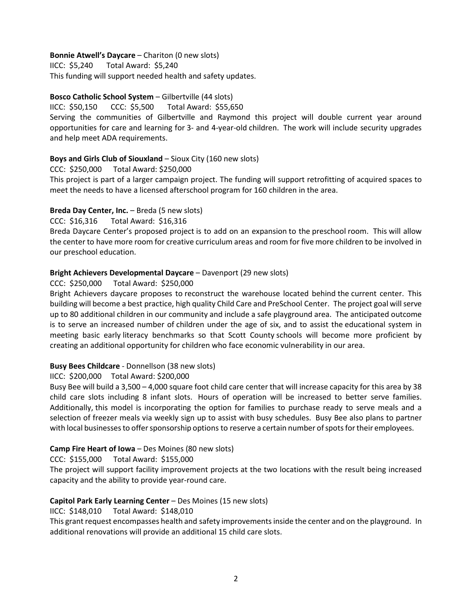# **Bonnie Atwell's Daycare** – Chariton (0 new slots)

IICC: \$5,240 Total Award: \$5,240 This funding will support needed health and safety updates.

# **Bosco Catholic School System** – Gilbertville (44 slots)

IICC: \$50,150 CCC: \$5,500 Total Award: \$55,650 

Serving the communities of Gilbertville and Raymond this project will double current year around opportunities for care and learning for 3- and 4-year-old children. The work will include security upgrades and help meet ADA requirements. 

# **Boys and Girls Club of Siouxland** – Sioux City (160 new slots)

CCC: \$250,000 Total Award: \$250,000

This project is part of a larger campaign project. The funding will support retrofitting of acquired spaces to meet the needs to have a licensed afterschool program for 160 children in the area.

# **Breda Day Center, Inc.** – Breda (5 new slots)

CCC: \$16,316 Total Award: \$16,316

Breda Daycare Center's proposed project is to add on an expansion to the preschool room. This will allow the center to have more room for creative curriculum areas and room for five more children to be involved in our preschool education.

# **Bright Achievers Developmental Daycare** – Davenport (29 new slots)

# CCC: \$250,000 Total Award: \$250,000

Bright Achievers daycare proposes to reconstruct the warehouse located behind the current center. This building will become a best practice, high quality Child Care and PreSchool Center. The project goal will serve up to 80 additional children in our community and include a safe playground area. The anticipated outcome is to serve an increased number of children under the age of six, and to assist the educational system in meeting basic early literacy benchmarks so that Scott County schools will become more proficient by creating an additional opportunity for children who face economic vulnerability in our area.

### **Busy Bees Childcare** - Donnellson (38 new slots)

### IICC: \$200,000 Total Award: \$200,000

Busy Bee will build a 3,500 – 4,000 square foot child care center that will increase capacity for this area by 38 child care slots including 8 infant slots. Hours of operation will be increased to better serve families. Additionally, this model is incorporating the option for families to purchase ready to serve meals and a selection of freezer meals via weekly sign up to assist with busy schedules. Busy Bee also plans to partner with local businesses to offer sponsorship options to reserve a certain number of spots for their employees. 

# **Camp Fire Heart of Iowa** – Des Moines (80 new slots)

CCC: \$155,000 Total Award: \$155,000 

The project will support facility improvement projects at the two locations with the result being increased capacity and the ability to provide year-round care. 

# **Capitol Park Early Learning Center** – Des Moines (15 new slots)

IICC: \$148,010 Total Award: \$148,010

This grant request encompasses health and safety improvements inside the center and on the playground. In additional renovations will provide an additional 15 child care slots.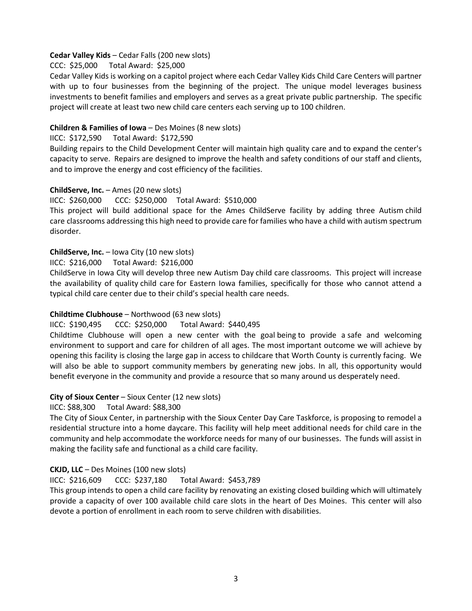### **Cedar Valley Kids** – Cedar Falls (200 new slots)

CCC: \$25,000 Total Award: \$25,000

Cedar Valley Kids is working on a capitol project where each Cedar Valley Kids Child Care Centers will partner with up to four businesses from the beginning of the project. The unique model leverages business investments to benefit families and employers and serves as a great private public partnership. The specific project will create at least two new child care centers each serving up to 100 children. 

# **Children & Families of Iowa** – Des Moines (8 new slots)

### IICC: \$172,590 Total Award: \$172,590

Building repairs to the Child Development Center will maintain high quality care and to expand the center's capacity to serve. Repairs are designed to improve the health and safety conditions of our staff and clients, and to improve the energy and cost efficiency of the facilities.

# **ChildServe, Inc.** – Ames (20 new slots)

IICC: \$260,000 CCC: \$250,000 Total Award: \$510,000 

This project will build additional space for the Ames ChildServe facility by adding three Autism child care classrooms addressing this high need to provide care for families who have a child with autism spectrum disorder.

### **ChildServe, Inc.** – Iowa City (10 new slots)

IICC: \$216,000 Total Award: \$216,000 

ChildServe in Iowa City will develop three new Autism Day child care classrooms. This project will increase the availability of quality child care for Eastern Iowa families, specifically for those who cannot attend a typical child care center due to their child's special health care needs.  

# **Childtime Clubhouse** – Northwood (63 new slots)

### IICC: \$190,495 CCC: \$250,000 Total Award: \$440,495

Childtime Clubhouse will open a new center with the goal being to provide a safe and welcoming environment to support and care for children of all ages. The most important outcome we will achieve by opening this facility is closing the large gap in access to childcare that Worth County is currently facing. We will also be able to support community members by generating new jobs. In all, this opportunity would benefit everyone in the community and provide a resource that so many around us desperately need.

# **City of Sioux Center** – Sioux Center (12 new slots)

### IICC: \$88,300 Total Award: \$88,300

The City of Sioux Center, in partnership with the Sioux Center Day Care Taskforce, is proposing to remodel a residential structure into a home daycare. This facility will help meet additional needs for child care in the community and help accommodate the workforce needs for many of our businesses. The funds will assist in making the facility safe and functional as a child care facility.

# **CKJD, LLC** – Des Moines (100 new slots)

### IICC: \$216,609 CCC: \$237,180 Total Award: \$453,789

This group intends to open a child care facility by renovating an existing closed building which will ultimately provide a capacity of over 100 available child care slots in the heart of Des Moines. This center will also devote a portion of enrollment in each room to serve children with disabilities.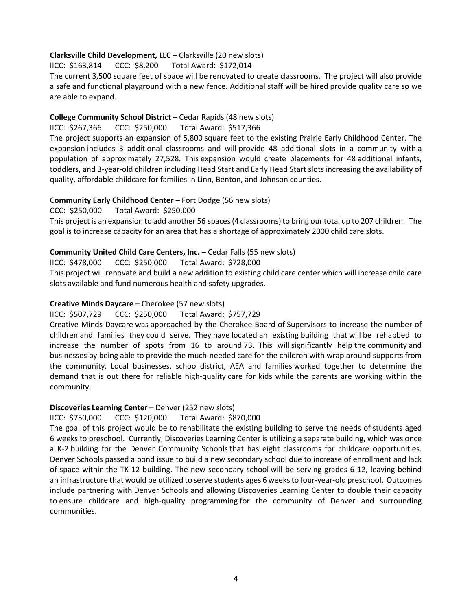# **Clarksville Child Development, LLC** – Clarksville (20 new slots)

IICC: \$163,814 CCC: \$8,200 Total Award: \$172,014

The current 3,500 square feet of space will be renovated to create classrooms. The project will also provide a safe and functional playground with a new fence. Additional staff will be hired provide quality care so we are able to expand.

### **College Community School District** – Cedar Rapids (48 new slots)

IICC: \$267,366 CCC: \$250,000 Total Award: \$517,366

The project supports an expansion of 5,800 square feet to the existing Prairie Early Childhood Center. The expansion includes 3 additional classrooms and will provide 48 additional slots in a community with a population of approximately 27,528. This expansion would create placements for 48 additional infants, toddlers, and 3-year-old children including Head Start and Early Head Start slots increasing the availability of quality, affordable childcare for families in Linn, Benton, and Johnson counties.

### C**ommunity Early Childhood Center** – Fort Dodge (56 new slots)

CCC: \$250,000 Total Award: \$250,000

This project is an expansion to add another 56 spaces (4 classrooms) to bring our total up to 207 children. The goal is to increase capacity for an area that has a shortage of approximately 2000 child care slots.

### **Community United Child Care Centers, Inc.** – Cedar Falls (55 new slots)

IICC: \$478,000 CCC: \$250,000 Total Award: \$728,000

This project will renovate and build a new addition to existing child care center which will increase child care slots available and fund numerous health and safety upgrades.

# **Creative Minds Daycare** – Cherokee (57 new slots)

### IICC: \$507,729 CCC: \$250,000 Total Award: \$757,729

Creative Minds Daycare was approached by the Cherokee Board of Supervisors to increase the number of children and families they could serve. They have located an existing building that will be rehabbed to increase the number of spots from 16 to around 73. This will significantly help the community and businesses by being able to provide the much-needed care for the children with wrap around supports from the community. Local businesses, school district, AEA and families worked together to determine the demand that is out there for reliable high-quality care for kids while the parents are working within the community.

### **Discoveries Learning Center** – Denver (252 new slots)

### IICC: \$750,000 CCC: \$120,000 Total Award: \$870,000

The goal of this project would be to rehabilitate the existing building to serve the needs of students aged 6 weeks to preschool. Currently, Discoveries Learning Center is utilizing a separate building, which was once a K-2 building for the Denver Community Schools that has eight classrooms for childcare opportunities. Denver Schools passed a bond issue to build a new secondary school due to increase of enrollment and lack of space within the TK-12 building. The new secondary school will be serving grades 6-12, leaving behind an infrastructure that would be utilized to serve students ages 6 weeks to four-year-old preschool. Outcomes include partnering with Denver Schools and allowing Discoveries Learning Center to double their capacity to ensure childcare and high-quality programming for the community of Denver and surrounding communities.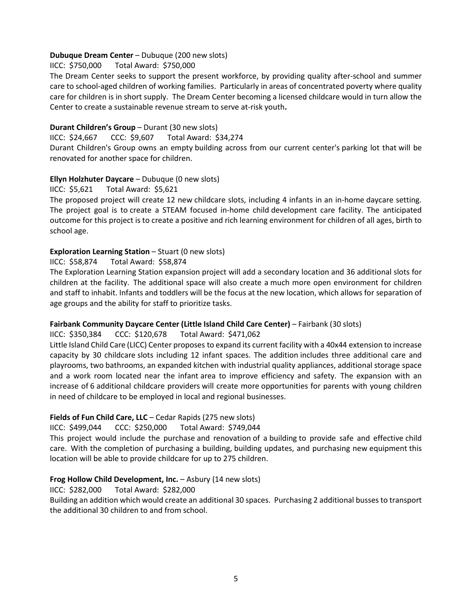### **Dubuque Dream Center** – Dubuque (200 new slots)

IICC: \$750,000 Total Award: \$750,000

The Dream Center seeks to support the present workforce, by providing quality after-school and summer care to school-aged children of working families. Particularly in areas of concentrated poverty where quality care for children is in short supply. The Dream Center becoming a licensed childcare would in turn allow the Center to create a sustainable revenue stream to serve at-risk youth**.**

### **Durant Children's Group** – Durant (30 new slots)

#### IICC: \$24,667 CCC: \$9,607 Total Award: \$34,274

Durant Children's Group owns an empty building across from our current center's parking lot that will be renovated for another space for children.

# **Ellyn Holzhuter Daycare** – Dubuque (0 new slots)

### IICC: \$5,621 Total Award: \$5,621

The proposed project will create 12 new childcare slots, including 4 infants in an in-home daycare setting. The project goal is to create a STEAM focused in-home child development care facility. The anticipated outcome for this project is to create a positive and rich learning environment for children of all ages, birth to school age.

### **Exploration Learning Station** – Stuart (0 new slots)

IICC: \$58,874 Total Award: \$58,874

The Exploration Learning Station expansion project will add a secondary location and 36 additional slots for children at the facility. The additional space will also create a much more open environment for children and staff to inhabit. Infants and toddlers will be the focus at the new location, which allows for separation of age groups and the ability for staff to prioritize tasks.

# **Fairbank Community Daycare Center (Little Island Child Care Center)** – Fairbank (30 slots)

### IICC: \$350,384 CCC: \$120,678 Total Award: \$471,062

Little Island Child Care (LICC) Center proposes to expand its current facility with a 40x44 extension to increase capacity by 30 childcare slots including 12 infant spaces. The addition includes three additional care and playrooms, two bathrooms, an expanded kitchen with industrial quality appliances, additional storage space and a work room located near the infant area to improve efficiency and safety. The expansion with an increase of 6 additional childcare providers will create more opportunities for parents with young children in need of childcare to be employed in local and regional businesses.

### **Fields of Fun Child Care, LLC** – Cedar Rapids (275 new slots)

IICC: \$499,044 CCC: \$250,000 Total Award: \$749,044

This project would include the purchase and renovation of a building to provide safe and effective child care. With the completion of purchasing a building, building updates, and purchasing new equipment this location will be able to provide childcare for up to 275 children.

# **Frog Hollow Child Development, Inc.** – Asbury (14 new slots)

### IICC: \$282,000 Total Award: \$282,000

Building an addition which would create an additional 30 spaces. Purchasing 2 additional busses to transport the additional 30 children to and from school.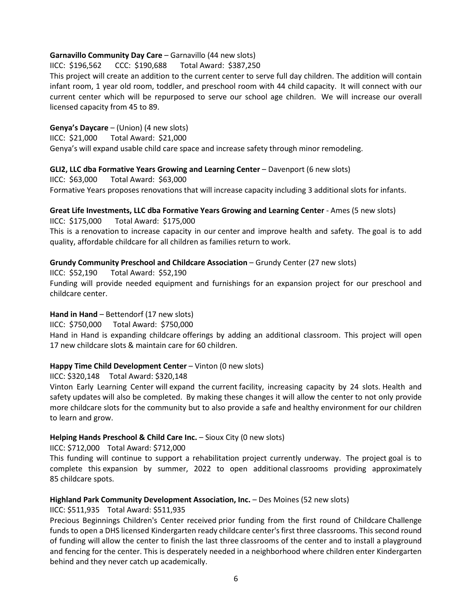### **Garnavillo Community Day Care** – Garnavillo (44 new slots)

IICC: \$196,562 CCC: \$190,688 Total Award: \$387,250

This project will create an addition to the current center to serve full day children. The addition will contain infant room, 1 year old room, toddler, and preschool room with 44 child capacity. It will connect with our current center which will be repurposed to serve our school age children. We will increase our overall licensed capacity from 45 to 89.

# **Genya's Daycare** – (Union) (4 new slots)

IICC: \$21,000 Total Award: \$21,000

Genya's will expand usable child care space and increase safety through minor remodeling.

# **GLI2, LLC dba Formative Years Growing and Learning Center** – Davenport (6 new slots)

IICC: \$63,000 Total Award: \$63,000 Formative Years proposes renovations that will increase capacity including 3 additional slots for infants.

# **Great Life Investments, LLC dba Formative Years Growing and Learning Center** - Ames (5 new slots)

IICC: \$175,000 Total Award: \$175,000

This is a renovation to increase capacity in our center and improve health and safety. The goal is to add quality, affordable childcare for all children as families return to work.

# **Grundy Community Preschool and Childcare Association** – Grundy Center (27 new slots)

IICC: \$52,190 Total Award: \$52,190

Funding will provide needed equipment and furnishings for an expansion project for our preschool and childcare center.

# Hand in Hand – Bettendorf (17 new slots)

IICC: \$750,000 Total Award: \$750,000

Hand in Hand is expanding childcare offerings by adding an additional classroom. This project will open 17 new childcare slots & maintain care for 60 children.

# **Happy Time Child Development Center** – Vinton (0 new slots)

IICC: \$320,148 Total Award: \$320,148

Vinton Early Learning Center will expand the current facility, increasing capacity by 24 slots. Health and safety updates will also be completed. By making these changes it will allow the center to not only provide more childcare slots for the community but to also provide a safe and healthy environment for our children to learn and grow.

# **Helping Hands Preschool & Child Care Inc.** – Sioux City (0 new slots)

IICC: \$712,000 Total Award: \$712,000

This funding will continue to support a rehabilitation project currently underway. The project goal is to complete this expansion by summer, 2022 to open additional classrooms providing approximately 85 childcare spots.

### **Highland Park Community Development Association, Inc.** – Des Moines (52 new slots)

# IICC: \$511,935 Total Award: \$511,935

Precious Beginnings Children's Center received prior funding from the first round of Childcare Challenge funds to open a DHS licensed Kindergarten ready childcare center's first three classrooms. This second round of funding will allow the center to finish the last three classrooms of the center and to install a playground and fencing for the center. This is desperately needed in a neighborhood where children enter Kindergarten behind and they never catch up academically.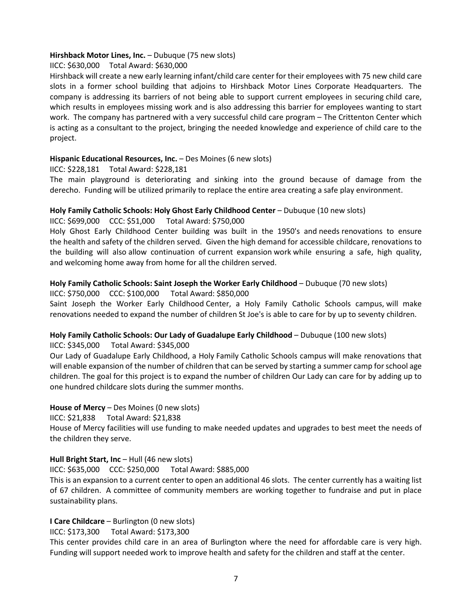### **Hirshback Motor Lines, Inc.** – Dubuque (75 new slots)

# IICC: \$630,000 Total Award: \$630,000

Hirshback will create a new early learning infant/child care center for their employees with 75 new child care slots in a former school building that adjoins to Hirshback Motor Lines Corporate Headquarters. The company is addressing its barriers of not being able to support current employees in securing child care, which results in employees missing work and is also addressing this barrier for employees wanting to start work. The company has partnered with a very successful child care program – The Crittenton Center which is acting as a consultant to the project, bringing the needed knowledge and experience of child care to the project. 

# **Hispanic Educational Resources, Inc.** – Des Moines (6 new slots)

IICC: \$228,181 Total Award: \$228,181

The main playground is deteriorating and sinking into the ground because of damage from the derecho. Funding will be utilized primarily to replace the entire area creating a safe play environment.

# **Holy Family Catholic Schools: Holy Ghost Early Childhood Center** – Dubuque (10 new slots)

IICC: \$699,000 CCC: \$51,000 Total Award: \$750,000

Holy Ghost Early Childhood Center building was built in the 1950's and needs renovations to ensure the health and safety of the children served. Given the high demand for accessible childcare, renovations to the building will also allow continuation of current expansion work while ensuring a safe, high quality, and welcoming home away from home for all the children served.

# **Holy Family Catholic Schools: Saint Joseph the Worker Early Childhood** – Dubuque (70 new slots)

IICC: \$750,000 CCC: \$100,000 Total Award: \$850,000

Saint Joseph the Worker Early Childhood Center, a Holy Family Catholic Schools campus, will make renovations needed to expand the number of children St Joe's is able to care for by up to seventy children.

### **Holy Family Catholic Schools: Our Lady of Guadalupe Early Childhood** – Dubuque (100 new slots)

### IICC: \$345,000 Total Award: \$345,000

Our Lady of Guadalupe Early Childhood, a Holy Family Catholic Schools campus will make renovations that will enable expansion of the number of children that can be served by starting a summer camp for school age children. The goal for this project is to expand the number of children Our Lady can care for by adding up to one hundred childcare slots during the summer months.

### **House of Mercy** – Des Moines (0 new slots)

IICC: \$21,838 Total Award: \$21,838

House of Mercy facilities will use funding to make needed updates and upgrades to best meet the needs of the children they serve.

### **Hull Bright Start, Inc – Hull (46 new slots)**

IICC: \$635,000 CCC: \$250,000 Total Award: \$885,000 

This is an expansion to a current center to open an additional 46 slots. The center currently has a waiting list of 67 children. A committee of community members are working together to fundraise and put in place sustainability plans. 

### **I Care Childcare** – Burlington (0 new slots)

IICC: \$173,300 Total Award: \$173,300

This center provides child care in an area of Burlington where the need for affordable care is very high. Funding will support needed work to improve health and safety for the children and staff at the center.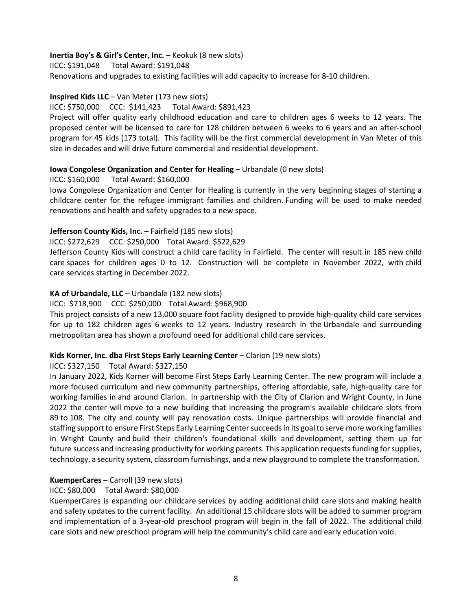# **Inertia Boy's & Girl's Center, Inc.** – Keokuk (8 new slots)

IICC: \$191,048 Total Award: \$191,048

Renovations and upgrades to existing facilities will add capacity to increase for 8-10 children.

# **Inspired Kids LLC** – Van Meter (173 new slots)

### IICC: \$750,000 CCC: \$141,423 Total Award: \$891,423

Project will offer quality early childhood education and care to children ages 6 weeks to 12 years. The proposed center will be licensed to care for 128 children between 6 weeks to 6 years and an after-school program for 45 kids (173 total). This facility will be the first commercial development in Van Meter of this size in decades and will drive future commercial and residential development.

# **Iowa Congolese Organization and Center for Healing** – Urbandale (0 new slots)

# IICC: \$160,000 Total Award: \$160,000

Iowa Congolese Organization and Center for Healing is currently in the very beginning stages of starting a childcare center for the refugee immigrant families and children. Funding will be used to make needed renovations and health and safety upgrades to a new space.

# **Jefferson County Kids, Inc.** – Fairfield (185 new slots)

# IICC: \$272,629 CCC: \$250,000 Total Award: \$522,629

Jefferson County Kids will construct a child care facility in Fairfield. The center will result in 185 new child care spaces for children ages 0 to 12. Construction will be complete in November 2022, with child care services starting in December 2022.

# **KA of Urbandale, LLC** – Urbandale (182 new slots)

IICC: \$718,900 CCC: \$250,000 Total Award: \$968,900

This project consists of a new 13,000 square foot facility designed to provide high-quality child care services for up to 182 children ages 6 weeks to 12 years. Industry research in the Urbandale and surrounding metropolitan area has shown a profound need for additional child care services.

### **Kids Korner, Inc. dba First Steps Early Learning Center** – Clarion (19 new slots)

### IICC: \$327,150 Total Award: \$327,150

In January 2022, Kids Korner will become First Steps Early Learning Center. The new program will include a more focused curriculum and new community partnerships, offering affordable, safe, high-quality care for working families in and around Clarion. In partnership with the City of Clarion and Wright County, in June 2022 the center will move to a new building that increasing the program's available childcare slots from 89 to 108. The city and county will pay renovation costs. Unique partnerships will provide financial and staffing support to ensure First Steps Early Learning Center succeeds in its goal to serve more working families in Wright County and build their children's foundational skills and development, setting them up for future success and increasing productivity for working parents. This application requests funding for supplies, technology, a security system, classroom furnishings, and a new playground to complete the transformation.

### **KuemperCares** – Carroll (39 new slots)

# IICC: \$80,000 Total Award: \$80,000

KuemperCares is expanding our childcare services by adding additional child care slots and making health and safety updates to the current facility. An additional 15 childcare slots will be added to summer program and implementation of a 3-year-old preschool program will begin in the fall of 2022. The additional child care slots and new preschool program will help the community's child care and early education void.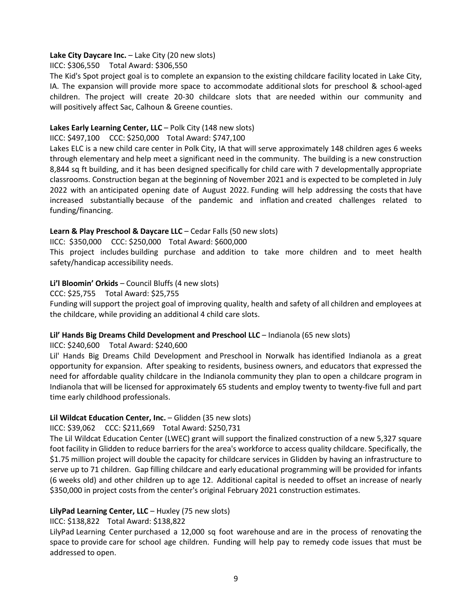### **Lake City Daycare Inc.** – Lake City (20 new slots)

IICC: \$306,550 Total Award: \$306,550

The Kid's Spot project goal is to complete an expansion to the existing childcare facility located in Lake City, IA. The expansion will provide more space to accommodate additional slots for preschool & school-aged children. The project will create 20-30 childcare slots that are needed within our community and will positively affect Sac, Calhoun & Greene counties.

### **Lakes Early Learning Center, LLC** – Polk City (148 new slots)

#### IICC: \$497,100 CCC: \$250,000 Total Award: \$747,100

Lakes ELC is a new child care center in Polk City, IA that will serve approximately 148 children ages 6 weeks through elementary and help meet a significant need in the community. The building is a new construction 8,844 sq ft building, and it has been designed specifically for child care with 7 developmentally appropriate classrooms. Construction began at the beginning of November 2021 and is expected to be completed in July 2022 with an anticipated opening date of August 2022. Funding will help addressing the costs that have increased substantially because of the pandemic and inflation and created challenges related to funding/financing.

# **Learn & Play Preschool & Daycare LLC** – Cedar Falls (50 new slots)

IICC: \$350,000 CCC: \$250,000 Total Award: \$600,000

This project includes building purchase and addition to take more children and to meet health safety/handicap accessibility needs.

# **Li'l Bloomin' Orkids** – Council Bluffs (4 new slots)

CCC: \$25,755 Total Award: \$25,755

Funding will support the project goal of improving quality, health and safety of all children and employees at the childcare, while providing an additional 4 child care slots.

### **Lil' Hands Big Dreams Child Development and Preschool LLC** – Indianola (65 new slots)

IICC: \$240,600 Total Award: \$240,600

Lil' Hands Big Dreams Child Development and Preschool in Norwalk has identified Indianola as a great opportunity for expansion. After speaking to residents, business owners, and educators that expressed the need for affordable quality childcare in the Indianola community they plan to open a childcare program in Indianola that will be licensed for approximately 65 students and employ twenty to twenty-five full and part time early childhood professionals.

### **Lil Wildcat Education Center, Inc.** – Glidden (35 new slots)

IICC: \$39,062 CCC: \$211,669 Total Award: \$250,731

The Lil Wildcat Education Center (LWEC) grant will support the finalized construction of a new 5,327 square foot facility in Glidden to reduce barriers for the area's workforce to access quality childcare. Specifically, the \$1.75 million project will double the capacity for childcare services in Glidden by having an infrastructure to serve up to 71 children. Gap filling childcare and early educational programming will be provided for infants (6 weeks old) and other children up to age 12. Additional capital is needed to offset an increase of nearly \$350,000 in project costs from the center's original February 2021 construction estimates.

### **LilyPad Learning Center, LLC** – Huxley (75 new slots)

### IICC: \$138,822 Total Award: \$138,822

LilyPad Learning Center purchased a 12,000 sq foot warehouse and are in the process of renovating the space to provide care for school age children. Funding will help pay to remedy code issues that must be addressed to open.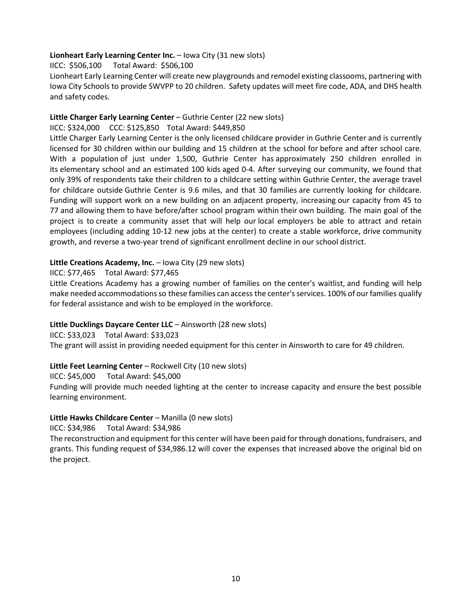# **Lionheart Early Learning Center Inc.** – Iowa City (31 new slots)

IICC: \$506,100 Total Award: \$506,100

Lionheart Early Learning Center will create new playgrounds and remodel existing classooms, partnering with Iowa City Schools to provide SWVPP to 20 children. Safety updates will meet fire code, ADA, and DHS health and safety codes.

# **Little Charger Early Learning Center** – Guthrie Center (22 new slots)

### IICC: \$324,000 CCC: \$125,850 Total Award: \$449,850

Little Charger Early Learning Center is the only licensed childcare provider in Guthrie Center and is currently licensed for 30 children within our building and 15 children at the school for before and after school care. With a population of just under 1,500, Guthrie Center has approximately 250 children enrolled in its elementary school and an estimated 100 kids aged 0-4. After surveying our community, we found that only 39% of respondents take their children to a childcare setting within Guthrie Center, the average travel for childcare outside Guthrie Center is 9.6 miles, and that 30 families are currently looking for childcare. Funding will support work on a new building on an adjacent property, increasing our capacity from 45 to 77 and allowing them to have before/after school program within their own building. The main goal of the project is to create a community asset that will help our local employers be able to attract and retain employees (including adding 10-12 new jobs at the center) to create a stable workforce, drive community growth, and reverse a two-year trend of significant enrollment decline in our school district.

# **Little Creations Academy, Inc.** – Iowa City (29 new slots)

# IICC: \$77,465 Total Award: \$77,465

Little Creations Academy has a growing number of families on the center's waitlist, and funding will help make needed accommodations so these families can access the center's services. 100% of our families qualify for federal assistance and wish to be employed in the workforce.

# **Little Ducklings Daycare Center LLC** – Ainsworth (28 new slots)

IICC: \$33,023 Total Award: \$33,023

The grant will assist in providing needed equipment for this center in Ainsworth to care for 49 children.

# **Little Feet Learning Center** – Rockwell City (10 new slots)

IICC: \$45,000 Total Award: \$45,000

Funding will provide much needed lighting at the center to increase capacity and ensure the best possible learning environment.

# **Little Hawks Childcare Center** – Manilla (0 new slots)

IICC: \$34,986 Total Award: \$34,986

The reconstruction and equipment for this center will have been paid for through donations, fundraisers, and grants. This funding request of \$34,986.12 will cover the expenses that increased above the original bid on the project.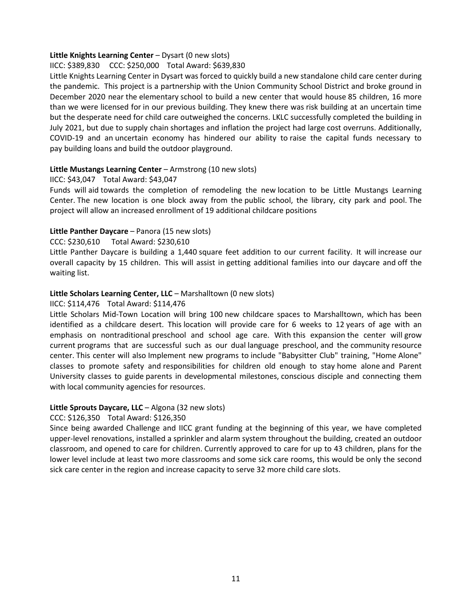### **Little Knights Learning Center** – Dysart (0 new slots)

# IICC: \$389,830 CCC: \$250,000 Total Award: \$639,830

Little Knights Learning Center in Dysart was forced to quickly build a new standalone child care center during the pandemic. This project is a partnership with the Union Community School District and broke ground in December 2020 near the elementary school to build a new center that would house 85 children, 16 more than we were licensed for in our previous building. They knew there was risk building at an uncertain time but the desperate need for child care outweighed the concerns. LKLC successfully completed the building in July 2021, but due to supply chain shortages and inflation the project had large cost overruns. Additionally, COVID-19 and an uncertain economy has hindered our ability to raise the capital funds necessary to pay building loans and build the outdoor playground.

# **Little Mustangs Learning Center** – Armstrong (10 new slots)

### IICC: \$43,047 Total Award: \$43,047

Funds will aid towards the completion of remodeling the new location to be Little Mustangs Learning Center. The new location is one block away from the public school, the library, city park and pool. The project will allow an increased enrollment of 19 additional childcare positions

# **Little Panther Daycare** – Panora (15 new slots)

### CCC: \$230,610 Total Award: \$230,610

Little Panther Daycare is building a 1,440 square feet addition to our current facility. It will increase our overall capacity by 15 children. This will assist in getting additional families into our daycare and off the waiting list.

# **Little Scholars Learning Center, LLC** – Marshalltown (0 new slots)

### IICC: \$114,476 Total Award: \$114,476

Little Scholars Mid-Town Location will bring 100 new childcare spaces to Marshalltown, which has been identified as a childcare desert. This location will provide care for 6 weeks to 12 years of age with an emphasis on nontraditional preschool and school age care. With this expansion the center will grow current programs that are successful such as our dual language preschool, and the community resource center. This center will also Implement new programs to include "Babysitter Club" training, "Home Alone" classes to promote safety and responsibilities for children old enough to stay home alone and Parent University classes to guide parents in developmental milestones, conscious disciple and connecting them with local community agencies for resources.

### **Little Sprouts Daycare, LLC** – Algona (32 new slots)

# CCC: \$126,350 Total Award: \$126,350

Since being awarded Challenge and IICC grant funding at the beginning of this year, we have completed upper-level renovations, installed a sprinkler and alarm system throughout the building, created an outdoor classroom, and opened to care for children. Currently approved to care for up to 43 children, plans for the lower level include at least two more classrooms and some sick care rooms, this would be only the second sick care center in the region and increase capacity to serve 32 more child care slots.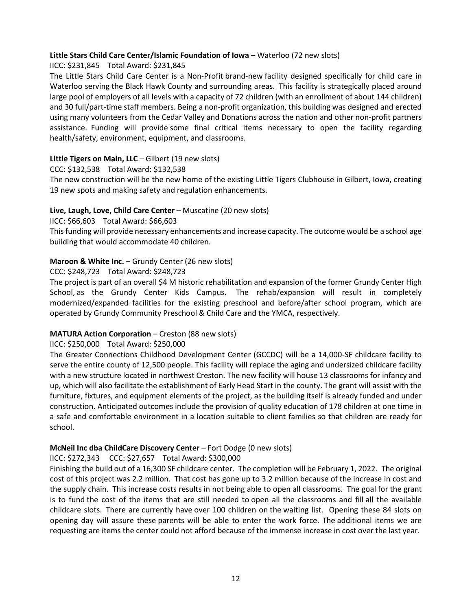# **Little Stars Child Care Center/Islamic Foundation of Iowa** – Waterloo (72 new slots)

# IICC: \$231,845 Total Award: \$231,845

The Little Stars Child Care Center is a Non-Profit brand-new facility designed specifically for child care in Waterloo serving the Black Hawk County and surrounding areas. This facility is strategically placed around large pool of employers of all levels with a capacity of 72 children (with an enrollment of about 144 children) and 30 full/part-time staff members. Being a non-profit organization, this building was designed and erected using many volunteers from the Cedar Valley and Donations across the nation and other non-profit partners assistance. Funding will provide some final critical items necessary to open the facility regarding health/safety, environment, equipment, and classrooms.

# **Little Tigers on Main, LLC** – Gilbert (19 new slots)

CCC: \$132,538 Total Award: \$132,538

The new construction will be the new home of the existing Little Tigers Clubhouse in Gilbert, Iowa, creating 19 new spots and making safety and regulation enhancements.

# **Live, Laugh, Love, Child Care Center** – Muscatine (20 new slots)

# IICC: \$66,603 Total Award: \$66,603

This funding will provide necessary enhancements and increase capacity. The outcome would be a school age building that would accommodate 40 children.

# **Maroon & White Inc.** – Grundy Center (26 new slots)

# CCC: \$248,723 Total Award: \$248,723

The project is part of an overall \$4 M historic rehabilitation and expansion of the former Grundy Center High School, as the Grundy Center Kids Campus. The rehab/expansion will result in completely modernized/expanded facilities for the existing preschool and before/after school program, which are operated by Grundy Community Preschool & Child Care and the YMCA, respectively.

# **MATURA Action Corporation** – Creston (88 new slots)

### IICC: \$250,000 Total Award: \$250,000

The Greater Connections Childhood Development Center (GCCDC) will be a 14,000-SF childcare facility to serve the entire county of 12,500 people. This facility will replace the aging and undersized childcare facility with a new structure located in northwest Creston. The new facility will house 13 classrooms for infancy and up, which will also facilitate the establishment of Early Head Start in the county. The grant will assist with the furniture, fixtures, and equipment elements of the project, as the building itself is already funded and under construction. Anticipated outcomes include the provision of quality education of 178 children at one time in a safe and comfortable environment in a location suitable to client families so that children are ready for school.

# **McNeil Inc dba ChildCare Discovery Center** – Fort Dodge (0 new slots)

### IICC: \$272,343 CCC: \$27,657 Total Award: \$300,000

Finishing the build out of a 16,300 SF childcare center. The completion will be February 1, 2022. The original cost of this project was 2.2 million. That cost has gone up to 3.2 million because of the increase in cost and the supply chain. This increase costs results in not being able to open all classrooms. The goal for the grant is to fund the cost of the items that are still needed to open all the classrooms and fill all the available childcare slots. There are currently have over 100 children on the waiting list. Opening these 84 slots on opening day will assure these parents will be able to enter the work force. The additional items we are requesting are items the center could not afford because of the immense increase in cost over the last year.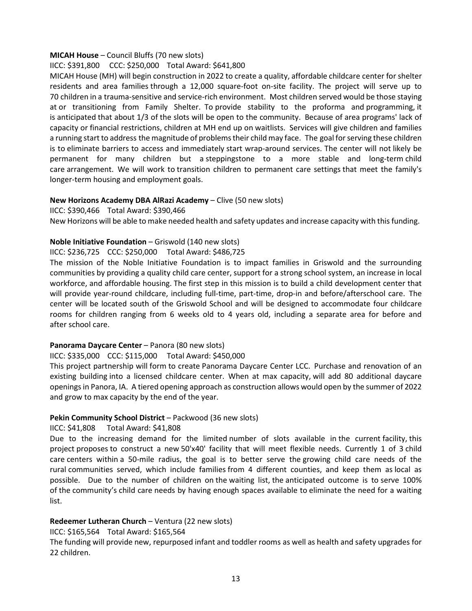#### **MICAH House** – Council Bluffs (70 new slots)

### IICC: \$391,800 CCC: \$250,000 Total Award: \$641,800

MICAH House (MH) will begin construction in 2022 to create a quality, affordable childcare center for shelter residents and area families through a 12,000 square-foot on-site facility. The project will serve up to 70 children in a trauma-sensitive and service-rich environment. Most children served would be those staying at or transitioning from Family Shelter. To provide stability to the proforma and programming, it is anticipated that about 1/3 of the slots will be open to the community. Because of area programs' lack of capacity or financial restrictions, children at MH end up on waitlists. Services will give children and families a running start to address the magnitude of problems their child may face. The goal for serving these children is to eliminate barriers to access and immediately start wrap-around services. The center will not likely be permanent for many children but a steppingstone to a more stable and long-term child care arrangement. We will work to transition children to permanent care settings that meet the family's longer-term housing and employment goals.

#### **New Horizons Academy DBA AlRazi Academy – Clive (50 new slots)**

IICC: \$390,466 Total Award: \$390,466

New Horizons will be able to make needed health and safety updates and increase capacity with this funding.

### **Noble Initiative Foundation** – Griswold (140 new slots)

IICC: \$236,725 CCC: \$250,000 Total Award: \$486,725

The mission of the Noble Initiative Foundation is to impact families in Griswold and the surrounding communities by providing a quality child care center, support for a strong school system, an increase in local workforce, and affordable housing. The first step in this mission is to build a child development center that will provide year-round childcare, including full-time, part-time, drop-in and before/afterschool care. The center will be located south of the Griswold School and will be designed to accommodate four childcare rooms for children ranging from 6 weeks old to 4 years old, including a separate area for before and after school care.

### **Panorama Daycare Center** – Panora (80 new slots)

### IICC: \$335,000 CCC: \$115,000 Total Award: \$450,000

This project partnership will form to create Panorama Daycare Center LCC. Purchase and renovation of an existing building into a licensed childcare center. When at max capacity, will add 80 additional daycare openings in Panora, IA. A tiered opening approach as construction allows would open by the summer of 2022 and grow to max capacity by the end of the year.

### **Pekin Community School District** – Packwood (36 new slots)

IICC: \$41,808 Total Award: \$41,808

Due to the increasing demand for the limited number of slots available in the current facility, this project proposes to construct a new 50'x40' facility that will meet flexible needs. Currently 1 of 3 child care centers within a 50-mile radius, the goal is to better serve the growing child care needs of the rural communities served, which include families from 4 different counties, and keep them as local as possible. Due to the number of children on the waiting list, the anticipated outcome is to serve 100% of the community's child care needs by having enough spaces available to eliminate the need for a waiting list.

### **Redeemer Lutheran Church – Ventura (22 new slots)**

### IICC: \$165,564 Total Award: \$165,564

The funding will provide new, repurposed infant and toddler rooms as well as health and safety upgrades for 22 children.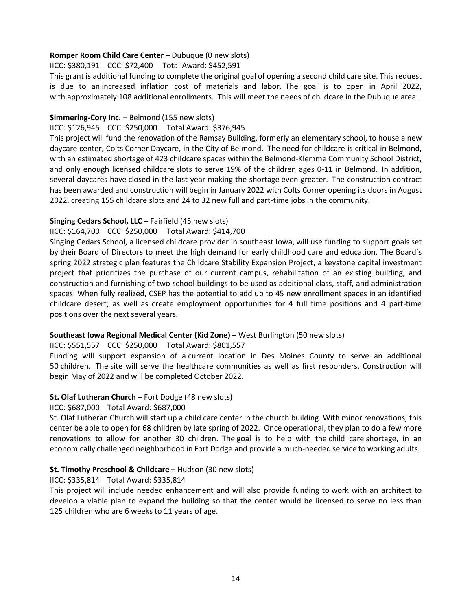### **Romper Room Child Care Center** – Dubuque (0 new slots)

### IICC: \$380,191 CCC: \$72,400 Total Award: \$452,591

This grant is additional funding to complete the original goal of opening a second child care site. This request is due to an increased inflation cost of materials and labor. The goal is to open in April 2022, with approximately 108 additional enrollments. This will meet the needs of childcare in the Dubuque area.

### **Simmering-Cory Inc.** – Belmond (155 new slots)

### IICC: \$126,945 CCC: \$250,000 Total Award: \$376,945

This project will fund the renovation of the Ramsay Building, formerly an elementary school, to house a new daycare center, Colts Corner Daycare, in the City of Belmond. The need for childcare is critical in Belmond, with an estimated shortage of 423 childcare spaces within the Belmond-Klemme Community School District, and only enough licensed childcare slots to serve 19% of the children ages 0-11 in Belmond. In addition, several daycares have closed in the last year making the shortage even greater. The construction contract has been awarded and construction will begin in January 2022 with Colts Corner opening its doors in August 2022, creating 155 childcare slots and 24 to 32 new full and part-time jobs in the community.

# **Singing Cedars School, LLC** – Fairfield (45 new slots)

# IICC: \$164,700 CCC: \$250,000 Total Award: \$414,700

Singing Cedars School, a licensed childcare provider in southeast Iowa, will use funding to support goals set by their Board of Directors to meet the high demand for early childhood care and education. The Board's spring 2022 strategic plan features the Childcare Stability Expansion Project, a keystone capital investment project that prioritizes the purchase of our current campus, rehabilitation of an existing building, and construction and furnishing of two school buildings to be used as additional class, staff, and administration spaces. When fully realized, CSEP has the potential to add up to 45 new enrollment spaces in an identified childcare desert; as well as create employment opportunities for 4 full time positions and 4 part-time positions over the next several years.

# **Southeast Iowa Regional Medical Center (Kid Zone)** – West Burlington (50 new slots)

# IICC: \$551,557 CCC: \$250,000 Total Award: \$801,557

Funding will support expansion of a current location in Des Moines County to serve an additional 50 children. The site will serve the healthcare communities as well as first responders. Construction will begin May of 2022 and will be completed October 2022.

# **St. Olaf Lutheran Church** – Fort Dodge (48 new slots)

### IICC: \$687,000 Total Award: \$687,000

St. Olaf Lutheran Church will start up a child care center in the church building. With minor renovations, this center be able to open for 68 children by late spring of 2022. Once operational, they plan to do a few more renovations to allow for another 30 children. The goal is to help with the child care shortage, in an economically challenged neighborhood in Fort Dodge and provide a much-needed service to working adults.

### **St. Timothy Preschool & Childcare** – Hudson (30 new slots)

# IICC: \$335,814 Total Award: \$335,814

This project will include needed enhancement and will also provide funding to work with an architect to develop a viable plan to expand the building so that the center would be licensed to serve no less than 125 children who are 6 weeks to 11 years of age.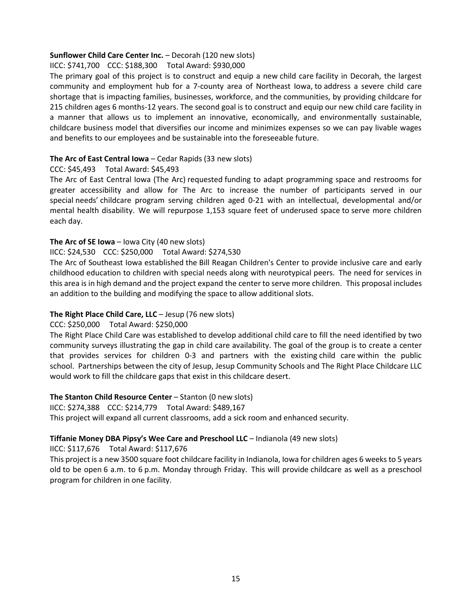### **Sunflower Child Care Center Inc.** – Decorah (120 new slots)

# IICC: \$741,700 CCC: \$188,300 Total Award: \$930,000

The primary goal of this project is to construct and equip a new child care facility in Decorah, the largest community and employment hub for a 7-county area of Northeast Iowa, to address a severe child care shortage that is impacting families, businesses, workforce, and the communities, by providing childcare for 215 children ages 6 months-12 years. The second goal is to construct and equip our new child care facility in a manner that allows us to implement an innovative, economically, and environmentally sustainable, childcare business model that diversifies our income and minimizes expenses so we can pay livable wages and benefits to our employees and be sustainable into the foreseeable future.

# **The Arc of East Central Iowa** – Cedar Rapids (33 new slots)

# CCC: \$45,493 Total Award: \$45,493

The Arc of East Central Iowa (The Arc) requested funding to adapt programming space and restrooms for greater accessibility and allow for The Arc to increase the number of participants served in our special needs' childcare program serving children aged 0-21 with an intellectual, developmental and/or mental health disability. We will repurpose 1,153 square feet of underused space to serve more children each day.

# **The Arc of SE Iowa** – Iowa City (40 new slots)

# IICC: \$24,530 CCC: \$250,000 Total Award: \$274,530

The Arc of Southeast Iowa established the Bill Reagan Children's Center to provide inclusive care and early childhood education to children with special needs along with neurotypical peers. The need for services in this area is in high demand and the project expand the center to serve more children. This proposal includes an addition to the building and modifying the space to allow additional slots.

### **The Right Place Child Care, LLC** – Jesup (76 new slots)

### CCC: \$250,000 Total Award: \$250,000

The Right Place Child Care was established to develop additional child care to fill the need identified by two community surveys illustrating the gap in child care availability. The goal of the group is to create a center that provides services for children 0-3 and partners with the existing child care within the public school. Partnerships between the city of Jesup, Jesup Community Schools and The Right Place Childcare LLC would work to fill the childcare gaps that exist in this childcare desert.

### **The Stanton Child Resource Center** – Stanton (0 new slots)

### IICC: \$274,388 CCC: \$214,779 Total Award: \$489,167

This project will expand all current classrooms, add a sick room and enhanced security.

### **Tiffanie Money DBA Pipsy's Wee Care and Preschool LLC** – Indianola (49 new slots)

IICC: \$117,676 Total Award: \$117,676

This project is a new 3500 square foot childcare facility in Indianola, Iowa for children ages 6 weeks to 5 years old to be open 6 a.m. to 6 p.m. Monday through Friday. This will provide childcare as well as a preschool program for children in one facility.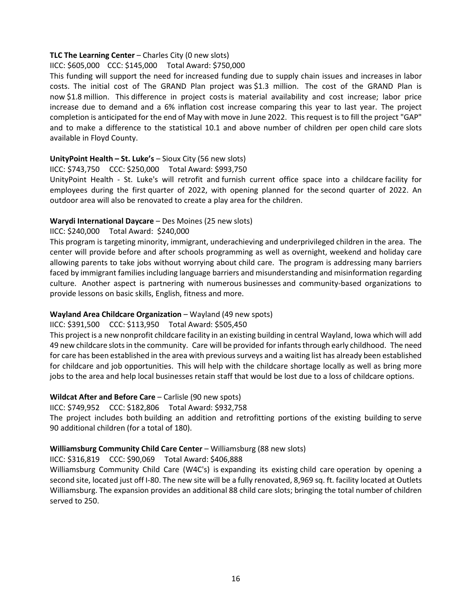### **TLC The Learning Center** – Charles City (0 new slots)

# IICC: \$605,000 CCC: \$145,000 Total Award: \$750,000

This funding will support the need for increased funding due to supply chain issues and increases in labor costs. The initial cost of The GRAND Plan project was \$1.3 million. The cost of the GRAND Plan is now \$1.8 million. This difference in project costs is material availability and cost increase; labor price increase due to demand and a 6% inflation cost increase comparing this year to last year. The project completion is anticipated for the end of May with move in June 2022. This request is to fill the project "GAP" and to make a difference to the statistical 10.1 and above number of children per open child care slots available in Floyd County.

# **UnityPoint Health – St. Luke's** – Sioux City (56 new slots)

#### IICC: \$743,750 CCC: \$250,000 Total Award: \$993,750

UnityPoint Health - St. Luke's will retrofit and furnish current office space into a childcare facility for employees during the first quarter of 2022, with opening planned for the second quarter of 2022. An outdoor area will also be renovated to create a play area for the children.

### **Warydi International Daycare** – Des Moines (25 new slots)

# IICC: \$240,000 Total Award: \$240,000

This program is targeting minority, immigrant, underachieving and underprivileged children in the area. The center will provide before and after schools programming as well as overnight, weekend and holiday care allowing parents to take jobs without worrying about child care. The program is addressing many barriers faced by immigrant families including language barriers and misunderstanding and misinformation regarding culture. Another aspect is partnering with numerous businesses and community-based organizations to provide lessons on basic skills, English, fitness and more.

### **Wayland Area Childcare Organization** – Wayland (49 new spots)

### IICC: \$391,500 CCC: \$113,950 Total Award: \$505,450

This project is a new nonprofit childcare facility in an existing building in central Wayland, Iowa which will add 49 new childcare slots in the community. Care will be provided for infants through early childhood. The need for care has been established in the area with previous surveys and a waiting list has already been established for childcare and job opportunities. This will help with the childcare shortage locally as well as bring more jobs to the area and help local businesses retain staff that would be lost due to a loss of childcare options.

### **Wildcat After and Before Care** – Carlisle (90 new spots)

### IICC: \$749,952 CCC: \$182,806 Total Award: \$932,758

The project includes both building an addition and retrofitting portions of the existing building to serve 90 additional children (for a total of 180).

# **Williamsburg Community Child Care Center** – Williamsburg (88 new slots)

### IICC: \$316,819 CCC: \$90,069 Total Award: \$406,888

Williamsburg Community Child Care (W4C's) is expanding its existing child care operation by opening a second site, located just off I-80. The new site will be a fully renovated, 8,969 sq. ft. facility located at Outlets Williamsburg. The expansion provides an additional 88 child care slots; bringing the total number of children served to 250.